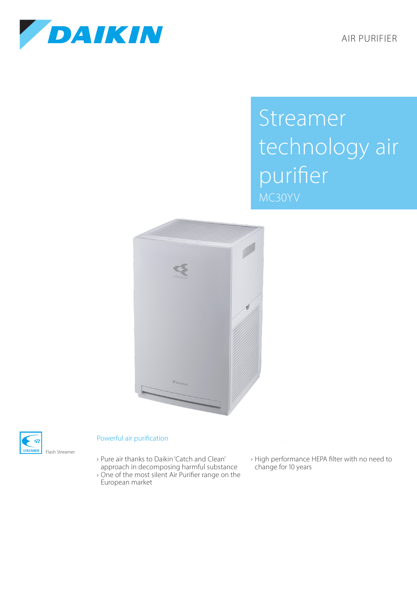AIR PURIFIER



## Streamer technology air purifier MC30YV





## Powerful air purification

- › Pure air thanks to Daikin 'Catch and Clean' approach in decomposing harmful substance
- › One of the most silent Air Purifier range on the European market
- › High performance HEPA filter with no need to change for 10 years